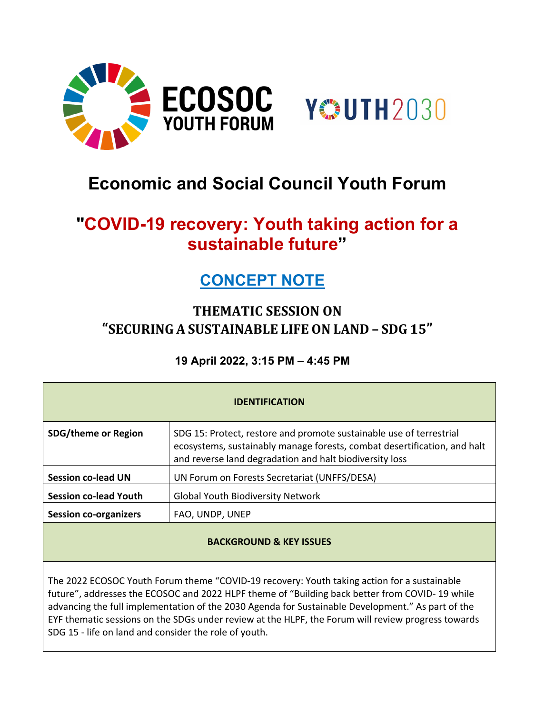



# **Economic and Social Council Youth Forum**

# **"COVID-19 recovery: Youth taking action for a sustainable future"**

## **CONCEPT NOTE**

### **THEMATIC SESSION ON "SECURING A SUSTAINABLE LIFE ON LAND – SDG 15"**

**19 April 2022, 3:15 PM – 4:45 PM**

| <b>IDENTIFICATION</b>              |                                                                                                                                                                                                            |
|------------------------------------|------------------------------------------------------------------------------------------------------------------------------------------------------------------------------------------------------------|
| <b>SDG/theme or Region</b>         | SDG 15: Protect, restore and promote sustainable use of terrestrial<br>ecosystems, sustainably manage forests, combat desertification, and halt<br>and reverse land degradation and halt biodiversity loss |
| <b>Session co-lead UN</b>          | UN Forum on Forests Secretariat (UNFFS/DESA)                                                                                                                                                               |
| <b>Session co-lead Youth</b>       | <b>Global Youth Biodiversity Network</b>                                                                                                                                                                   |
| <b>Session co-organizers</b>       | FAO, UNDP, UNEP                                                                                                                                                                                            |
| <b>BACKGROUND &amp; KEY ISSUES</b> |                                                                                                                                                                                                            |

The 2022 ECOSOC Youth Forum theme "COVID-19 recovery: Youth taking action for a sustainable future", addresses the ECOSOC and 2022 HLPF theme of "Building back better from COVID- 19 while advancing the full implementation of the 2030 Agenda for Sustainable Development." As part of the EYF thematic sessions on the SDGs under review at the HLPF, the Forum will review progress towards SDG 15 - life on land and consider the role of youth.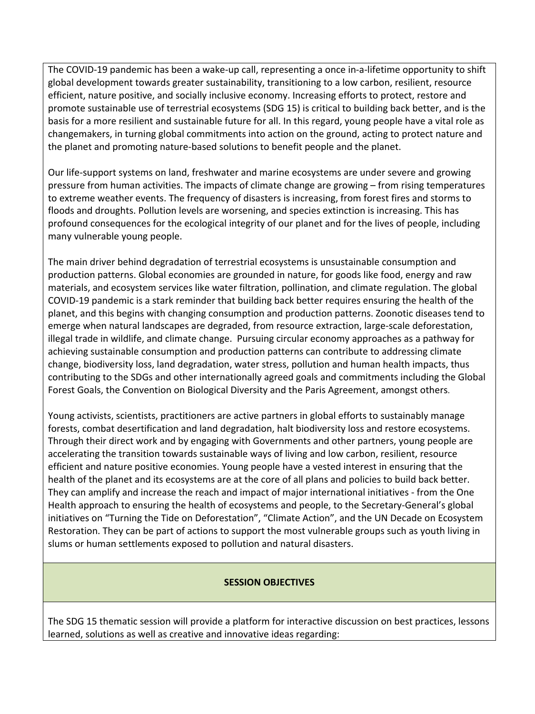The COVID-19 pandemic has been a wake-up call, representing a once in-a-lifetime opportunity to shift global development towards greater sustainability, transitioning to a low carbon, resilient, resource efficient, nature positive, and socially inclusive economy. Increasing efforts to protect, restore and promote sustainable use of terrestrial ecosystems (SDG 15) is critical to building back better, and is the basis for a more resilient and sustainable future for all. In this regard, young people have a vital role as changemakers, in turning global commitments into action on the ground, acting to protect nature and the planet and promoting nature-based solutions to benefit people and the planet.

Our life-support systems on land, freshwater and marine ecosystems are under severe and growing pressure from human activities. The impacts of climate change are growing – from rising temperatures to extreme weather events. The frequency of disasters is increasing, from forest fires and storms to floods and droughts. Pollution levels are worsening, and species extinction is increasing. This has profound consequences for the ecological integrity of our planet and for the lives of people, including many vulnerable young people.

The main driver behind degradation of terrestrial ecosystems is unsustainable consumption and production patterns. Global economies are grounded in nature, for goods like food, energy and raw materials, and ecosystem services like water filtration, pollination, and climate regulation. The global COVID-19 pandemic is a stark reminder that building back better requires ensuring the health of the planet, and this begins with changing consumption and production patterns. Zoonotic diseases tend to emerge when natural landscapes are degraded, from resource extraction, large-scale deforestation, illegal trade in wildlife, and climate change. Pursuing circular economy approaches as a pathway for achieving sustainable consumption and production patterns can contribute to addressing climate change, biodiversity loss, land degradation, water stress, pollution and human health impacts, thus contributing to the SDGs and other internationally agreed goals and commitments including the Global Forest Goals, the Convention on Biological Diversity and the Paris Agreement, amongst others.

Young activists, scientists, practitioners are active partners in global efforts to sustainably manage forests, combat desertification and land degradation, halt biodiversity loss and restore ecosystems. Through their direct work and by engaging with Governments and other partners, young people are accelerating the transition towards sustainable ways of living and low carbon, resilient, resource efficient and nature positive economies. Young people have a vested interest in ensuring that the health of the planet and its ecosystems are at the core of all plans and policies to build back better. They can amplify and increase the reach and impact of major international initiatives - from the One Health approach to ensuring the health of ecosystems and people, to the Secretary-General's global initiatives on "Turning the Tide on Deforestation", "Climate Action", and the UN Decade on Ecosystem Restoration. They can be part of actions to support the most vulnerable groups such as youth living in slums or human settlements exposed to pollution and natural disasters.

#### **SESSION OBJECTIVES**

The SDG 15 thematic session will provide a platform for interactive discussion on best practices, lessons learned, solutions as well as creative and innovative ideas regarding: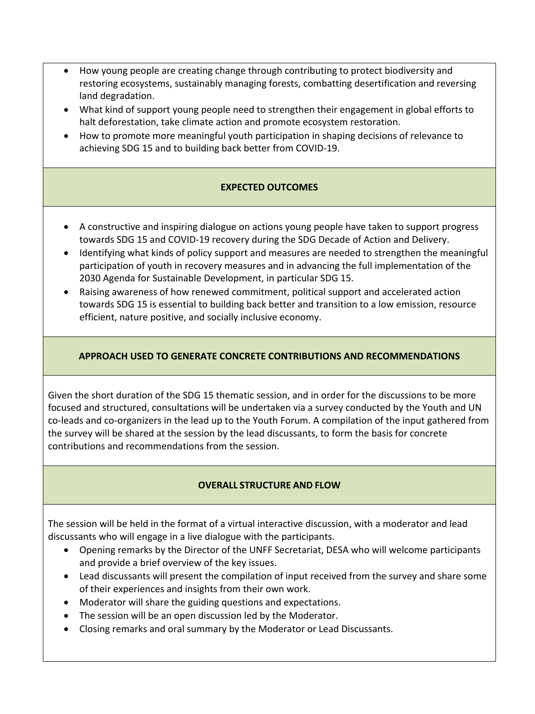- How young people are creating change through contributing to protect biodiversity and restoring ecosystems, sustainably managing forests, combatting desertification and reversing land degradation.
- What kind of support young people need to strengthen their engagement in global efforts to halt deforestation, take climate action and promote ecosystem restoration.
- How to promote more meaningful youth participation in shaping decisions of relevance to achieving SDG 15 and to building back better from COVID-19.

#### **EXPECTED OUTCOMES**

- A constructive and inspiring dialogue on actions young people have taken to support progress towards SDG 15 and COVID-19 recovery during the SDG Decade of Action and Delivery.
- Identifying what kinds of policy support and measures are needed to strengthen the meaningful participation of youth in recovery measures and in advancing the full implementation of the 2030 Agenda for Sustainable Development, in particular SDG 15.
- Raising awareness of how renewed commitment, political support and accelerated action towards SDG 15 is essential to building back better and transition to a low emission, resource efficient, nature positive, and socially inclusive economy.

#### **APPROACH USED TO GENERATE CONCRETE CONTRIBUTIONS AND RECOMMENDATIONS**

Given the short duration of the SDG 15 thematic session, and in order for the discussions to be more focused and structured, consultations will be undertaken via a survey conducted by the Youth and UN co-leads and co-organizers in the lead up to the Youth Forum. A compilation of the input gathered from the survey will be shared at the session by the lead discussants, to form the basis for concrete contributions and recommendations from the session.

#### **OVERALL STRUCTURE AND FLOW**

The session will be held in the format of a virtual interactive discussion, with a moderator and lead discussants who will engage in a live dialogue with the participants.

- Opening remarks by the Director of the UNFF Secretariat, DESA who will welcome participants and provide a brief overview of the key issues.
- Lead discussants will present the compilation of input received from the survey and share some of their experiences and insights from their own work.
- Moderator will share the guiding questions and expectations.
- The session will be an open discussion led by the Moderator.
- Closing remarks and oral summary by the Moderator or Lead Discussants.